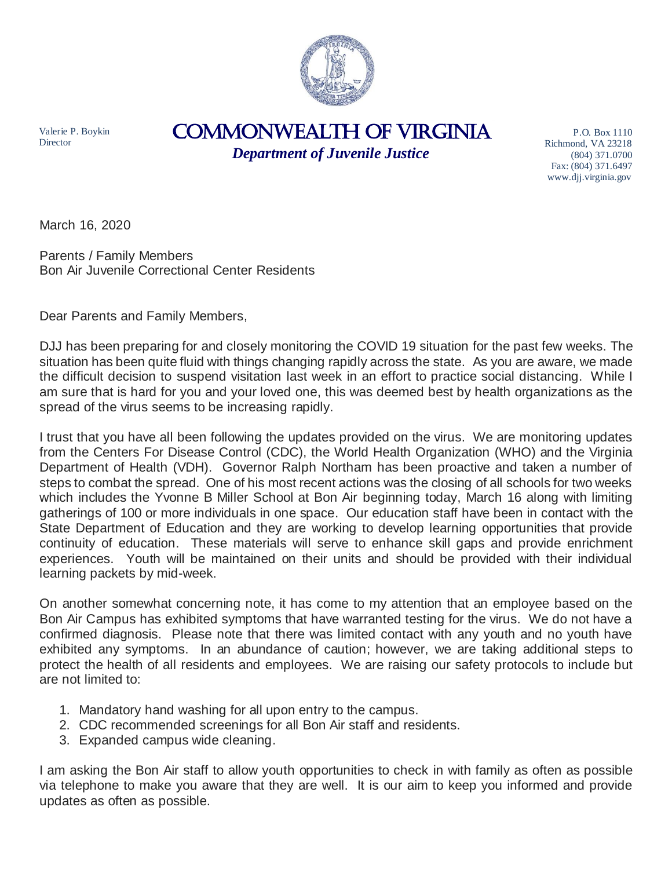

Valerie P. Boykin **Director** 

## COMMONWEALTH of VIRGINIA

*Department of Juvenile Justice*

P.O. Box 1110 Richmond, VA 23218 (804) 371.0700 Fax: (804) 371.6497 www.djj.virginia.gov

March 16, 2020

Parents / Family Members Bon Air Juvenile Correctional Center Residents

Dear Parents and Family Members,

DJJ has been preparing for and closely monitoring the COVID 19 situation for the past few weeks. The situation has been quite fluid with things changing rapidly across the state. As you are aware, we made the difficult decision to suspend visitation last week in an effort to practice social distancing. While I am sure that is hard for you and your loved one, this was deemed best by health organizations as the spread of the virus seems to be increasing rapidly.

I trust that you have all been following the updates provided on the virus. We are monitoring updates from the Centers For Disease Control (CDC), the World Health Organization (WHO) and the Virginia Department of Health (VDH). Governor Ralph Northam has been proactive and taken a number of steps to combat the spread. One of his most recent actions was the closing of all schools for two weeks which includes the Yvonne B Miller School at Bon Air beginning today, March 16 along with limiting gatherings of 100 or more individuals in one space. Our education staff have been in contact with the State Department of Education and they are working to develop learning opportunities that provide continuity of education. These materials will serve to enhance skill gaps and provide enrichment experiences. Youth will be maintained on their units and should be provided with their individual learning packets by mid-week.

On another somewhat concerning note, it has come to my attention that an employee based on the Bon Air Campus has exhibited symptoms that have warranted testing for the virus. We do not have a confirmed diagnosis. Please note that there was limited contact with any youth and no youth have exhibited any symptoms. In an abundance of caution; however, we are taking additional steps to protect the health of all residents and employees. We are raising our safety protocols to include but are not limited to:

- 1. Mandatory hand washing for all upon entry to the campus.
- 2. CDC recommended screenings for all Bon Air staff and residents.
- 3. Expanded campus wide cleaning.

I am asking the Bon Air staff to allow youth opportunities to check in with family as often as possible via telephone to make you aware that they are well. It is our aim to keep you informed and provide updates as often as possible.